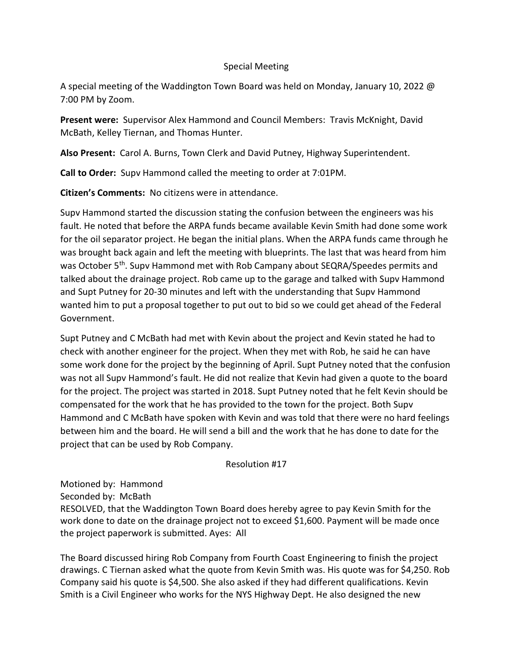## Special Meeting

A special meeting of the Waddington Town Board was held on Monday, January 10, 2022 @ 7:00 PM by Zoom.

Present were: Supervisor Alex Hammond and Council Members: Travis McKnight, David McBath, Kelley Tiernan, and Thomas Hunter.

Also Present: Carol A. Burns, Town Clerk and David Putney, Highway Superintendent.

Call to Order: Supv Hammond called the meeting to order at 7:01PM.

Citizen's Comments: No citizens were in attendance.

Supv Hammond started the discussion stating the confusion between the engineers was his fault. He noted that before the ARPA funds became available Kevin Smith had done some work for the oil separator project. He began the initial plans. When the ARPA funds came through he was brought back again and left the meeting with blueprints. The last that was heard from him was October 5<sup>th</sup>. Supv Hammond met with Rob Campany about SEQRA/Speedes permits and talked about the drainage project. Rob came up to the garage and talked with Supv Hammond and Supt Putney for 20-30 minutes and left with the understanding that Supv Hammond wanted him to put a proposal together to put out to bid so we could get ahead of the Federal Government.

Supt Putney and C McBath had met with Kevin about the project and Kevin stated he had to check with another engineer for the project. When they met with Rob, he said he can have some work done for the project by the beginning of April. Supt Putney noted that the confusion was not all Supv Hammond's fault. He did not realize that Kevin had given a quote to the board for the project. The project was started in 2018. Supt Putney noted that he felt Kevin should be compensated for the work that he has provided to the town for the project. Both Supv Hammond and C McBath have spoken with Kevin and was told that there were no hard feelings between him and the board. He will send a bill and the work that he has done to date for the project that can be used by Rob Company.

Resolution #17

Motioned by: Hammond Seconded by: McBath RESOLVED, that the Waddington Town Board does hereby agree to pay Kevin Smith for the work done to date on the drainage project not to exceed \$1,600. Payment will be made once the project paperwork is submitted. Ayes: All

The Board discussed hiring Rob Company from Fourth Coast Engineering to finish the project drawings. C Tiernan asked what the quote from Kevin Smith was. His quote was for \$4,250. Rob Company said his quote is \$4,500. She also asked if they had different qualifications. Kevin Smith is a Civil Engineer who works for the NYS Highway Dept. He also designed the new